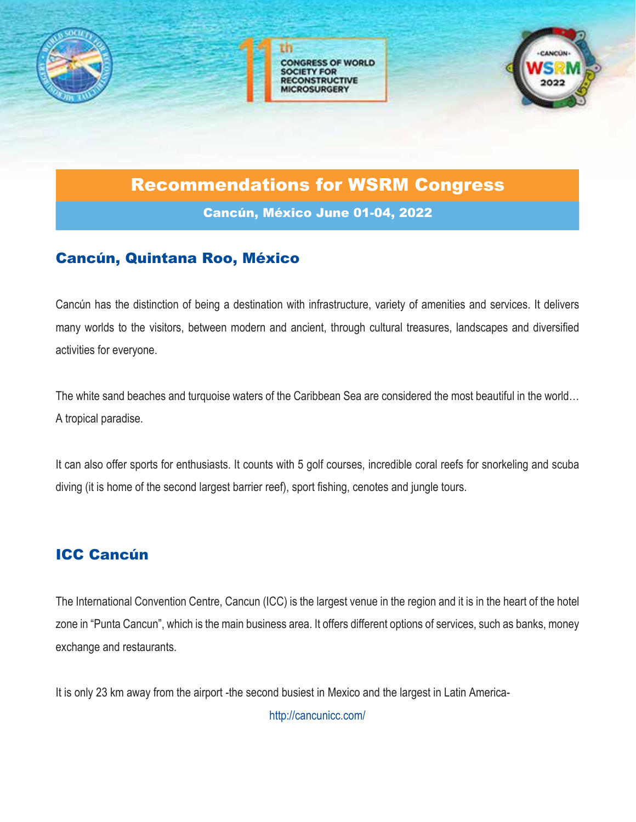





### Recommendations for WSRM Congress

Cancún, México June 01-04, 2022

#### Cancún, Quintana Roo, México

Cancún has the distinction of being a destination with infrastructure, variety of amenities and services. It delivers many worlds to the visitors, between modern and ancient, through cultural treasures, landscapes and diversified activities for everyone.

The white sand beaches and turquoise waters of the Caribbean Sea are considered the most beautiful in the world… A tropical paradise.

It can also offer sports for enthusiasts. It counts with 5 golf courses, incredible coral reefs for snorkeling and scuba diving (it is home of the second largest barrier reef), sport fishing, cenotes and jungle tours.

#### ICC Cancún

The International Convention Centre, Cancun (ICC) is the largest venue in the region and it is in the heart of the hotel zone in "Punta Cancun", which is the main business area. It offers different options of services, such as banks, money exchange and restaurants.

It is only 23 km away from the airport -the second busiest in Mexico and the largest in Latin America-

http://cancunicc.com/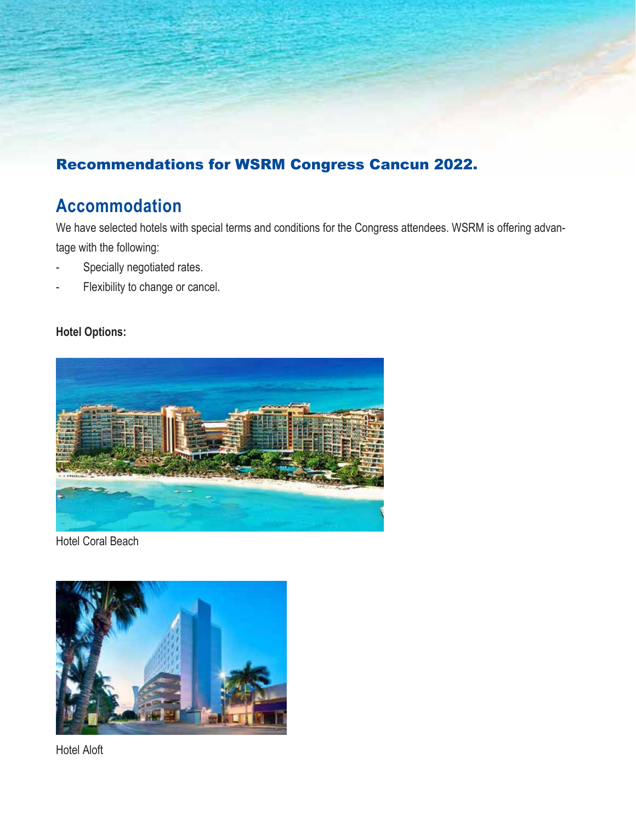#### Recommendations for WSRM Congress Cancun 2022.

### **Accommodation**

We have selected hotels with special terms and conditions for the Congress attendees. WSRM is offering advantage with the following:

- Specially negotiated rates.
- Flexibility to change or cancel.

#### **Hotel Options:**



Hotel Coral Beach



Hotel Aloft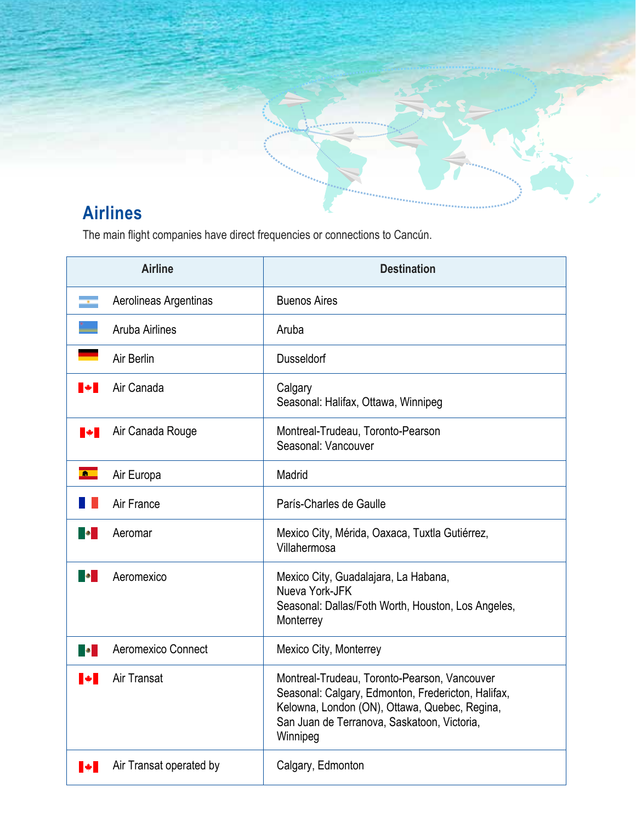

# **Airlines**

The main flight companies have direct frequencies or connections to Cancún.

| <b>Airline</b>                 | <b>Destination</b>                                                                                                                                                                                             |
|--------------------------------|----------------------------------------------------------------------------------------------------------------------------------------------------------------------------------------------------------------|
| Aerolineas Argentinas          | <b>Buenos Aires</b>                                                                                                                                                                                            |
| <b>Aruba Airlines</b>          | Aruba                                                                                                                                                                                                          |
| Air Berlin                     | <b>Dusseldorf</b>                                                                                                                                                                                              |
| Air Canada<br>$\blacksquare$   | Calgary<br>Seasonal: Halifax, Ottawa, Winnipeg                                                                                                                                                                 |
| Air Canada Rouge<br>▮◆▮        | Montreal-Trudeau, Toronto-Pearson<br>Seasonal: Vancouver                                                                                                                                                       |
| 商<br>Air Europa                | Madrid                                                                                                                                                                                                         |
| Air France                     | París-Charles de Gaulle                                                                                                                                                                                        |
| Aeromar<br><b>Barbara</b>      | Mexico City, Mérida, Oaxaca, Tuxtla Gutiérrez,<br>Villahermosa                                                                                                                                                 |
| <b>BO</b><br>Aeromexico        | Mexico City, Guadalajara, La Habana,<br>Nueva York-JFK<br>Seasonal: Dallas/Foth Worth, Houston, Los Angeles,<br>Monterrey                                                                                      |
| Aeromexico Connect<br><b>B</b> | Mexico City, Monterrey                                                                                                                                                                                         |
| Air Transat<br>M               | Montreal-Trudeau, Toronto-Pearson, Vancouver<br>Seasonal: Calgary, Edmonton, Fredericton, Halifax,<br>Kelowna, London (ON), Ottawa, Quebec, Regina,<br>San Juan de Terranova, Saskatoon, Victoria,<br>Winnipeg |
| Air Transat operated by        | Calgary, Edmonton                                                                                                                                                                                              |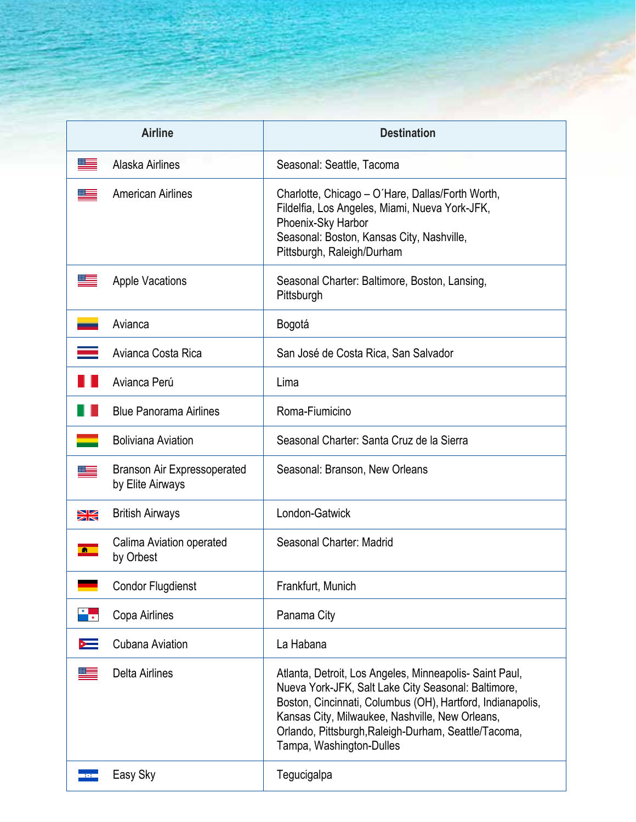| <b>Airline</b>                                                                        | <b>Destination</b>                                                                                                                                                                                                                                                                                                  |
|---------------------------------------------------------------------------------------|---------------------------------------------------------------------------------------------------------------------------------------------------------------------------------------------------------------------------------------------------------------------------------------------------------------------|
| Alaska Airlines                                                                       | Seasonal: Seattle, Tacoma                                                                                                                                                                                                                                                                                           |
| <b>American Airlines</b>                                                              | Charlotte, Chicago – O'Hare, Dallas/Forth Worth,<br>Fildelfia, Los Angeles, Miami, Nueva York-JFK,<br>Phoenix-Sky Harbor<br>Seasonal: Boston, Kansas City, Nashville,<br>Pittsburgh, Raleigh/Durham                                                                                                                 |
| <b>Apple Vacations</b>                                                                | Seasonal Charter: Baltimore, Boston, Lansing,<br>Pittsburgh                                                                                                                                                                                                                                                         |
| Avianca                                                                               | Bogotá                                                                                                                                                                                                                                                                                                              |
| Avianca Costa Rica                                                                    | San José de Costa Rica, San Salvador                                                                                                                                                                                                                                                                                |
| Avianca Perú                                                                          | Lima                                                                                                                                                                                                                                                                                                                |
| <b>Blue Panorama Airlines</b>                                                         | Roma-Fiumicino                                                                                                                                                                                                                                                                                                      |
| <b>Boliviana Aviation</b>                                                             | Seasonal Charter: Santa Cruz de la Sierra                                                                                                                                                                                                                                                                           |
| <b>Branson Air Expressoperated</b><br>by Elite Airways                                | Seasonal: Branson, New Orleans                                                                                                                                                                                                                                                                                      |
| <b>British Airways</b><br>$\geq$                                                      | London-Gatwick                                                                                                                                                                                                                                                                                                      |
| Calima Aviation operated<br>$\mathbf{a}$<br>by Orbest                                 | Seasonal Charter: Madrid                                                                                                                                                                                                                                                                                            |
| Condor Flugdienst                                                                     | Frankfurt, Munich                                                                                                                                                                                                                                                                                                   |
| $\begin{array}{c c c c} \star & \star \\ \hline & \star \end{array}$<br>Copa Airlines | Panama City                                                                                                                                                                                                                                                                                                         |
| Cubana Aviation<br>$\rightarrow$                                                      | La Habana                                                                                                                                                                                                                                                                                                           |
| <b>Delta Airlines</b>                                                                 | Atlanta, Detroit, Los Angeles, Minneapolis- Saint Paul,<br>Nueva York-JFK, Salt Lake City Seasonal: Baltimore,<br>Boston, Cincinnati, Columbus (OH), Hartford, Indianapolis,<br>Kansas City, Milwaukee, Nashville, New Orleans,<br>Orlando, Pittsburgh, Raleigh-Durham, Seattle/Tacoma,<br>Tampa, Washington-Dulles |
| Easy Sky                                                                              | Tegucigalpa                                                                                                                                                                                                                                                                                                         |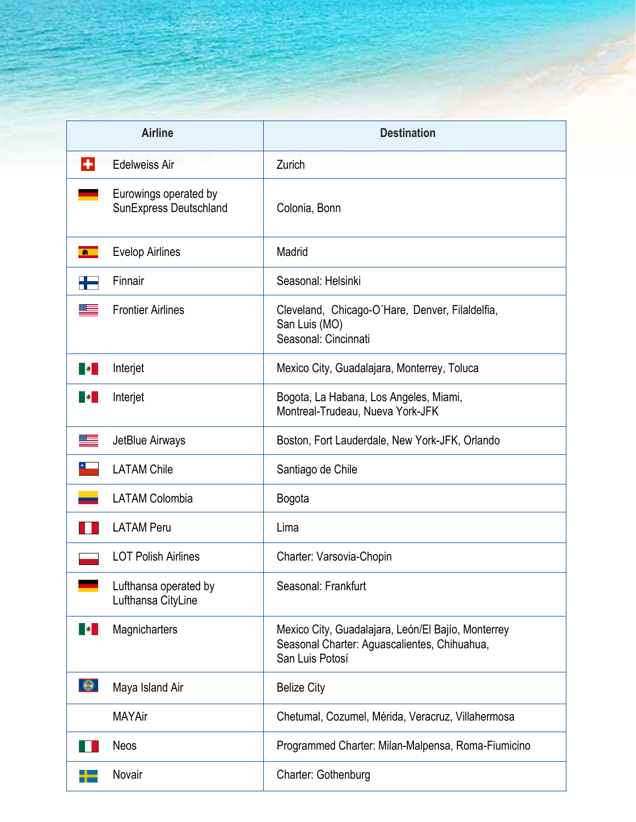| <b>Airline</b>                                               | <b>Destination</b>                                                                                                    |
|--------------------------------------------------------------|-----------------------------------------------------------------------------------------------------------------------|
| $\left  \cdot \right $<br><b>Edelweiss Air</b>               | Zurich                                                                                                                |
| Eurowings operated by<br>SunExpress Deutschland              | Colonia, Bonn                                                                                                         |
| <b>Evelop Airlines</b><br>$\bullet$                          | Madrid                                                                                                                |
| Finnair                                                      | Seasonal: Helsinki                                                                                                    |
| <b>Frontier Airlines</b>                                     | Cleveland, Chicago-O'Hare, Denver, Filaldelfia,<br>San Luis (MO)<br>Seasonal: Cincinnati                              |
| Interjet<br><b>B</b>                                         | Mexico City, Guadalajara, Monterrey, Toluca                                                                           |
| Interjet<br><b>B</b>                                         | Bogota, La Habana, Los Angeles, Miami,<br>Montreal-Trudeau, Nueva York-JFK                                            |
| JetBlue Airways                                              | Boston, Fort Lauderdale, New York-JFK, Orlando                                                                        |
| <b>LATAM Chile</b>                                           | Santiago de Chile                                                                                                     |
| <b>LATAM Colombia</b>                                        | Bogota                                                                                                                |
| <b>LATAM Peru</b>                                            | Lima                                                                                                                  |
| <b>LOT Polish Airlines</b>                                   | Charter: Varsovia-Chopin                                                                                              |
| Lufthansa operated by<br>$\mathcal{L}$<br>Lufthansa CityLine | Seasonal: Frankfurt                                                                                                   |
| <b>Magnicharters</b><br><b>B</b>                             | Mexico City, Guadalajara, León/El Bajío, Monterrey<br>Seasonal Charter: Aguascalientes, Chihuahua,<br>San Luis Potosí |
| $\bullet$<br>Maya Island Air                                 | <b>Belize City</b>                                                                                                    |
| <b>MAYAir</b>                                                | Chetumal, Cozumel, Mérida, Veracruz, Villahermosa                                                                     |
| <b>Neos</b>                                                  | Programmed Charter: Milan-Malpensa, Roma-Fiumicino                                                                    |
| Novair                                                       | Charter: Gothenburg                                                                                                   |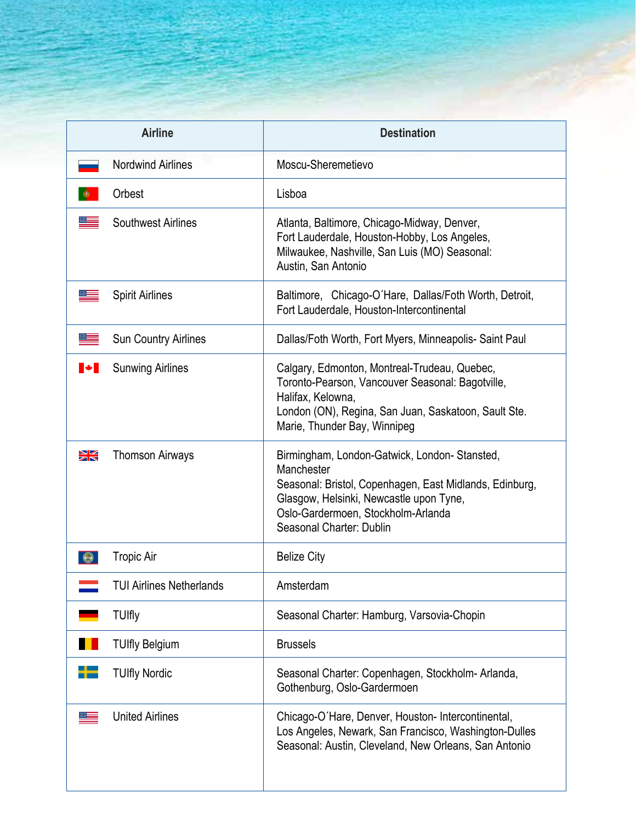| <b>Airline</b>                                                             | <b>Destination</b>                                                                                                                                                                                                                 |
|----------------------------------------------------------------------------|------------------------------------------------------------------------------------------------------------------------------------------------------------------------------------------------------------------------------------|
| <b>Nordwind Airlines</b>                                                   | Moscu-Sheremetievo                                                                                                                                                                                                                 |
| Orbest                                                                     | Lisboa                                                                                                                                                                                                                             |
| <b>Southwest Airlines</b>                                                  | Atlanta, Baltimore, Chicago-Midway, Denver,<br>Fort Lauderdale, Houston-Hobby, Los Angeles,<br>Milwaukee, Nashville, San Luis (MO) Seasonal:<br>Austin, San Antonio                                                                |
| <b>Spirit Airlines</b>                                                     | Baltimore, Chicago-O'Hare, Dallas/Foth Worth, Detroit,<br>Fort Lauderdale, Houston-Intercontinental                                                                                                                                |
| Sun Country Airlines                                                       | Dallas/Foth Worth, Fort Myers, Minneapolis- Saint Paul                                                                                                                                                                             |
| <b>Sunwing Airlines</b><br>$\blacksquare \blacktriangleright \blacksquare$ | Calgary, Edmonton, Montreal-Trudeau, Quebec,<br>Toronto-Pearson, Vancouver Seasonal: Bagotville,<br>Halifax, Kelowna,<br>London (ON), Regina, San Juan, Saskatoon, Sault Ste.<br>Marie, Thunder Bay, Winnipeg                      |
| $\geq$<br><b>Thomson Airways</b>                                           | Birmingham, London-Gatwick, London-Stansted,<br>Manchester<br>Seasonal: Bristol, Copenhagen, East Midlands, Edinburg,<br>Glasgow, Helsinki, Newcastle upon Tyne,<br>Oslo-Gardermoen, Stockholm-Arlanda<br>Seasonal Charter: Dublin |
| <b>Tropic Air</b>                                                          | <b>Belize City</b>                                                                                                                                                                                                                 |
| <b>TUI Airlines Netherlands</b>                                            | Amsterdam                                                                                                                                                                                                                          |
| <b>TUIfly</b>                                                              | Seasonal Charter: Hamburg, Varsovia-Chopin                                                                                                                                                                                         |
| <b>TUIfly Belgium</b>                                                      | <b>Brussels</b>                                                                                                                                                                                                                    |
| <b>TUIfly Nordic</b>                                                       | Seasonal Charter: Copenhagen, Stockholm-Arlanda,<br>Gothenburg, Oslo-Gardermoen                                                                                                                                                    |
| <b>United Airlines</b>                                                     | Chicago-O'Hare, Denver, Houston-Intercontinental,<br>Los Angeles, Newark, San Francisco, Washington-Dulles<br>Seasonal: Austin, Cleveland, New Orleans, San Antonio                                                                |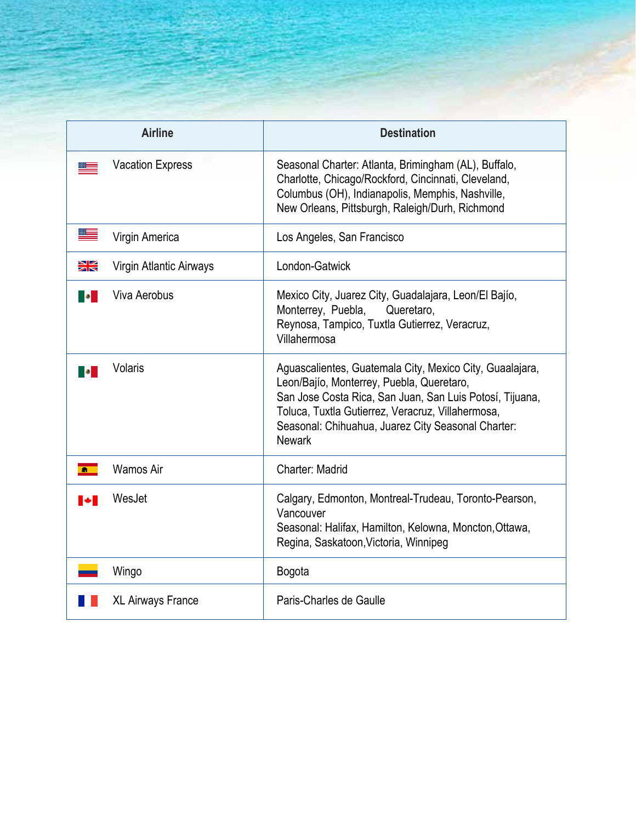| <b>Airline</b>                | <b>Destination</b>                                                                                                                                                                                                                                                                            |
|-------------------------------|-----------------------------------------------------------------------------------------------------------------------------------------------------------------------------------------------------------------------------------------------------------------------------------------------|
| <b>Vacation Express</b>       | Seasonal Charter: Atlanta, Brimingham (AL), Buffalo,<br>Charlotte, Chicago/Rockford, Cincinnati, Cleveland,<br>Columbus (OH), Indianapolis, Memphis, Nashville,<br>New Orleans, Pittsburgh, Raleigh/Durh, Richmond                                                                            |
| Virgin America                | Los Angeles, San Francisco                                                                                                                                                                                                                                                                    |
| ▓<br>Virgin Atlantic Airways  | London-Gatwick                                                                                                                                                                                                                                                                                |
| <b>Viva Aerobus</b>           | Mexico City, Juarez City, Guadalajara, Leon/El Bajío,<br>Monterrey, Puebla,<br>Queretaro,<br>Reynosa, Tampico, Tuxtla Gutierrez, Veracruz,<br>Villahermosa                                                                                                                                    |
| Volaris                       | Aguascalientes, Guatemala City, Mexico City, Guaalajara,<br>Leon/Bajío, Monterrey, Puebla, Queretaro,<br>San Jose Costa Rica, San Juan, San Luis Potosí, Tijuana,<br>Toluca, Tuxtla Gutierrez, Veracruz, Villahermosa,<br>Seasonal: Chihuahua, Juarez City Seasonal Charter:<br><b>Newark</b> |
| <b>Wamos Air</b><br>$\bullet$ | Charter: Madrid                                                                                                                                                                                                                                                                               |
| WesJet<br><b>A</b>            | Calgary, Edmonton, Montreal-Trudeau, Toronto-Pearson,<br>Vancouver<br>Seasonal: Halifax, Hamilton, Kelowna, Moncton, Ottawa,<br>Regina, Saskatoon, Victoria, Winnipeg                                                                                                                         |
| Wingo                         | Bogota                                                                                                                                                                                                                                                                                        |
| <b>XL Airways France</b>      | Paris-Charles de Gaulle                                                                                                                                                                                                                                                                       |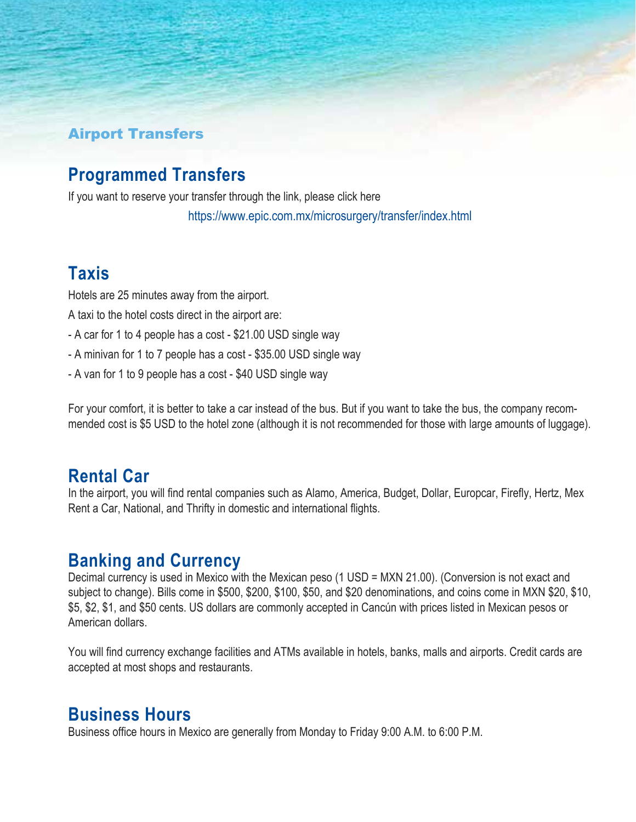#### Airport Transfers

### **Programmed Transfers**

If you want to reserve your transfer through the link, please click here https://www.epic.com.mx/microsurgery/transfer/index.html

#### **Taxis**

Hotels are 25 minutes away from the airport.

A taxi to the hotel costs direct in the airport are:

- A car for 1 to 4 people has a cost \$21.00 USD single way
- A minivan for 1 to 7 people has a cost \$35.00 USD single way
- A van for 1 to 9 people has a cost \$40 USD single way

For your comfort, it is better to take a car instead of the bus. But if you want to take the bus, the company recommended cost is \$5 USD to the hotel zone (although it is not recommended for those with large amounts of luggage).

#### **Rental Car**

In the airport, you will find rental companies such as Alamo, America, Budget, Dollar, Europcar, Firefly, Hertz, Mex Rent a Car, National, and Thrifty in domestic and international flights.

#### **Banking and Currency**

Decimal currency is used in Mexico with the Mexican peso (1 USD = MXN 21.00). (Conversion is not exact and subject to change). Bills come in \$500, \$200, \$100, \$50, and \$20 denominations, and coins come in MXN \$20, \$10, \$5, \$2, \$1, and \$50 cents. US dollars are commonly accepted in Cancún with prices listed in Mexican pesos or American dollars.

You will find currency exchange facilities and ATMs available in hotels, banks, malls and airports. Credit cards are accepted at most shops and restaurants.

#### **Business Hours**

Business office hours in Mexico are generally from Monday to Friday 9:00 A.M. to 6:00 P.M.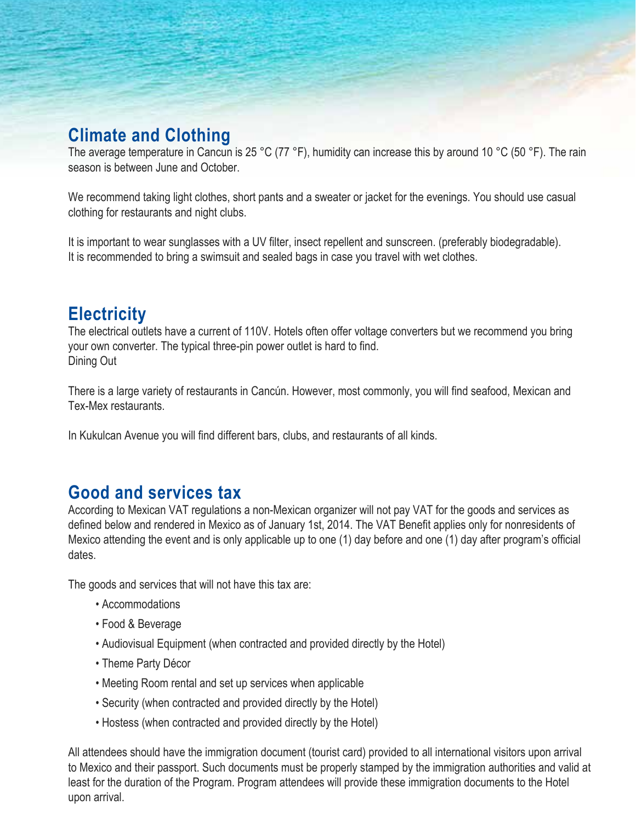### **Climate and Clothing**

The average temperature in Cancun is 25 °C (77 °F), humidity can increase this by around 10 °C (50 °F). The rain season is between June and October.

We recommend taking light clothes, short pants and a sweater or jacket for the evenings. You should use casual clothing for restaurants and night clubs.

It is important to wear sunglasses with a UV filter, insect repellent and sunscreen. (preferably biodegradable). It is recommended to bring a swimsuit and sealed bags in case you travel with wet clothes.

### **Electricity**

The electrical outlets have a current of 110V. Hotels often offer voltage converters but we recommend you bring your own converter. The typical three-pin power outlet is hard to find. Dining Out

There is a large variety of restaurants in Cancún. However, most commonly, you will find seafood, Mexican and Tex-Mex restaurants.

In Kukulcan Avenue you will find different bars, clubs, and restaurants of all kinds.

### **Good and services tax**

According to Mexican VAT regulations a non-Mexican organizer will not pay VAT for the goods and services as defined below and rendered in Mexico as of January 1st, 2014. The VAT Benefit applies only for nonresidents of Mexico attending the event and is only applicable up to one (1) day before and one (1) day after program's official dates.

The goods and services that will not have this tax are:

- Accommodations
- Food & Beverage
- Audiovisual Equipment (when contracted and provided directly by the Hotel)
- Theme Party Décor
- Meeting Room rental and set up services when applicable
- Security (when contracted and provided directly by the Hotel)
- Hostess (when contracted and provided directly by the Hotel)

All attendees should have the immigration document (tourist card) provided to all international visitors upon arrival to Mexico and their passport. Such documents must be properly stamped by the immigration authorities and valid at least for the duration of the Program. Program attendees will provide these immigration documents to the Hotel upon arrival.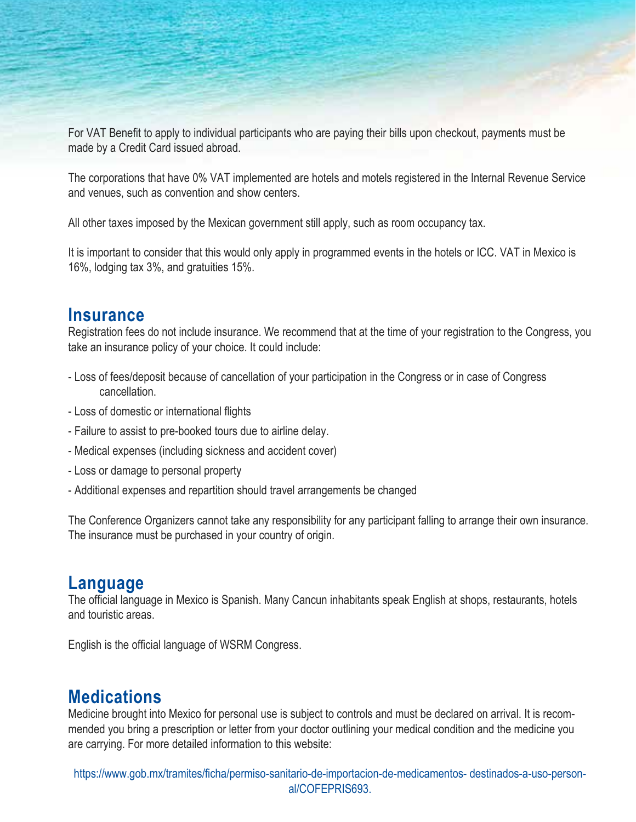For VAT Benefit to apply to individual participants who are paying their bills upon checkout, payments must be made by a Credit Card issued abroad.

The corporations that have 0% VAT implemented are hotels and motels registered in the Internal Revenue Service and venues, such as convention and show centers.

All other taxes imposed by the Mexican government still apply, such as room occupancy tax.

It is important to consider that this would only apply in programmed events in the hotels or ICC. VAT in Mexico is 16%, lodging tax 3%, and gratuities 15%.

#### **Insurance**

Registration fees do not include insurance. We recommend that at the time of your registration to the Congress, you take an insurance policy of your choice. It could include:

- Loss of fees/deposit because of cancellation of your participation in the Congress or in case of Congress cancellation.
- Loss of domestic or international flights
- Failure to assist to pre-booked tours due to airline delay.
- Medical expenses (including sickness and accident cover)
- Loss or damage to personal property
- Additional expenses and repartition should travel arrangements be changed

The Conference Organizers cannot take any responsibility for any participant falling to arrange their own insurance. The insurance must be purchased in your country of origin.

#### **Language**

The official language in Mexico is Spanish. Many Cancun inhabitants speak English at shops, restaurants, hotels and touristic areas.

English is the official language of WSRM Congress.

### **Medications**

Medicine brought into Mexico for personal use is subject to controls and must be declared on arrival. It is recommended you bring a prescription or letter from your doctor outlining your medical condition and the medicine you are carrying. For more detailed information to this website:

https://www.gob.mx/tramites/ficha/permiso-sanitario-de-importacion-de-medicamentos- destinados-a-uso-personal/COFEPRIS693.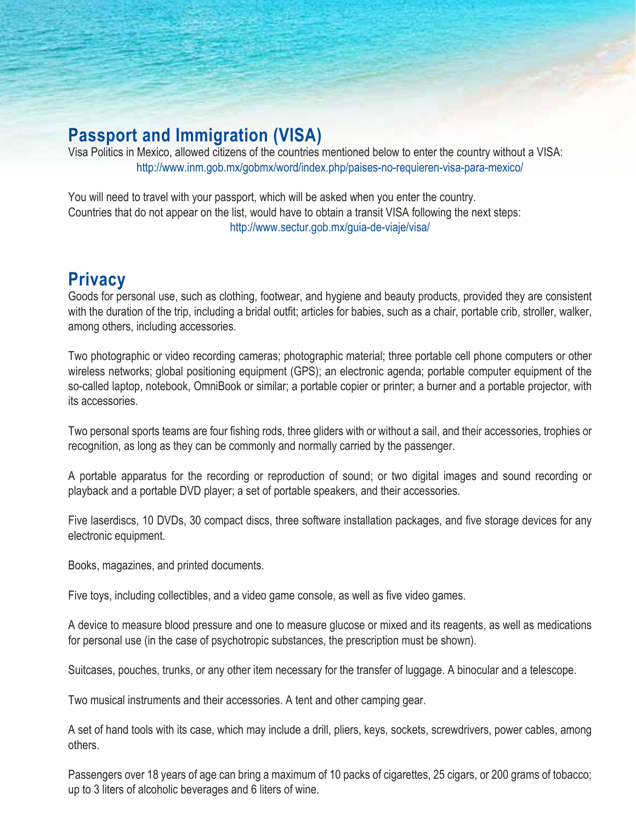### **Passport and Immigration (VISA)**

Visa Politics in Mexico, allowed citizens of the countries mentioned below to enter the country without a VISA: http://www.inm.gob.mx/gobmx/word/index.php/paises-no-requieren-visa-para-mexico/

You will need to travel with your passport, which will be asked when you enter the country. Countries that do not appear on the list, would have to obtain a transit VISA following the next steps: http://www.sectur.gob.mx/guia-de-viaje/visa/

### **Privacy**

Goods for personal use, such as clothing, footwear, and hygiene and beauty products, provided they are consistent with the duration of the trip, including a bridal outfit; articles for babies, such as a chair, portable crib, stroller, walker, among others, including accessories.

Two photographic or video recording cameras; photographic material; three portable cell phone computers or other wireless networks; global positioning equipment (GPS); an electronic agenda; portable computer equipment of the so-called laptop, notebook, OmniBook or similar; a portable copier or printer; a burner and a portable projector, with its accessories.

Two personal sports teams are four fishing rods, three gliders with or without a sail, and their accessories, trophies or recognition, as long as they can be commonly and normally carried by the passenger.

A portable apparatus for the recording or reproduction of sound; or two digital images and sound recording or playback and a portable DVD player; a set of portable speakers, and their accessories.

Five laserdiscs, 10 DVDs, 30 compact discs, three software installation packages, and five storage devices for any electronic equipment.

Books, magazines, and printed documents.

Five toys, including collectibles, and a video game console, as well as five video games.

A device to measure blood pressure and one to measure glucose or mixed and its reagents, as well as medications for personal use (in the case of psychotropic substances, the prescription must be shown).

Suitcases, pouches, trunks, or any other item necessary for the transfer of luggage. A binocular and a telescope.

Two musical instruments and their accessories. A tent and other camping gear.

A set of hand tools with its case, which may include a drill, pliers, keys, sockets, screwdrivers, power cables, among others.

Passengers over 18 years of age can bring a maximum of 10 packs of cigarettes, 25 cigars, or 200 grams of tobacco; up to 3 liters of alcoholic beverages and 6 liters of wine.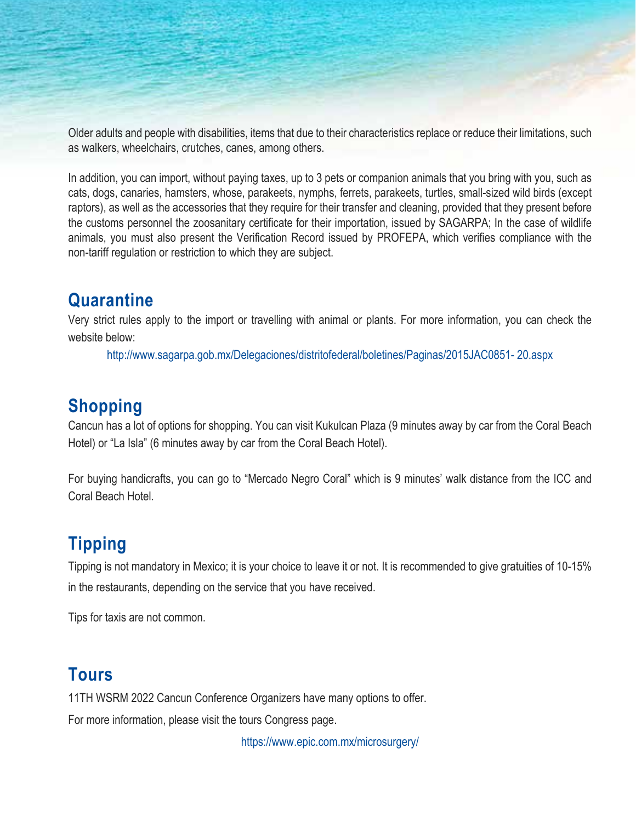Older adults and people with disabilities, items that due to their characteristics replace or reduce their limitations, such as walkers, wheelchairs, crutches, canes, among others.

In addition, you can import, without paying taxes, up to 3 pets or companion animals that you bring with you, such as cats, dogs, canaries, hamsters, whose, parakeets, nymphs, ferrets, parakeets, turtles, small-sized wild birds (except raptors), as well as the accessories that they require for their transfer and cleaning, provided that they present before the customs personnel the zoosanitary certificate for their importation, issued by SAGARPA; In the case of wildlife animals, you must also present the Verification Record issued by PROFEPA, which verifies compliance with the non-tariff regulation or restriction to which they are subject.

### **Quarantine**

Very strict rules apply to the import or travelling with animal or plants. For more information, you can check the website below:

http://www.sagarpa.gob.mx/Delegaciones/distritofederal/boletines/Paginas/2015JAC0851- 20.aspx

### **Shopping**

Cancun has a lot of options for shopping. You can visit Kukulcan Plaza (9 minutes away by car from the Coral Beach Hotel) or "La Isla" (6 minutes away by car from the Coral Beach Hotel).

For buying handicrafts, you can go to "Mercado Negro Coral" which is 9 minutes' walk distance from the ICC and Coral Beach Hotel.

## **Tipping**

Tipping is not mandatory in Mexico; it is your choice to leave it or not. It is recommended to give gratuities of 10-15% in the restaurants, depending on the service that you have received.

Tips for taxis are not common.

### **Tours**

11TH WSRM 2022 Cancun Conference Organizers have many options to offer. For more information, please visit the tours Congress page.

https://www.epic.com.mx/microsurgery/